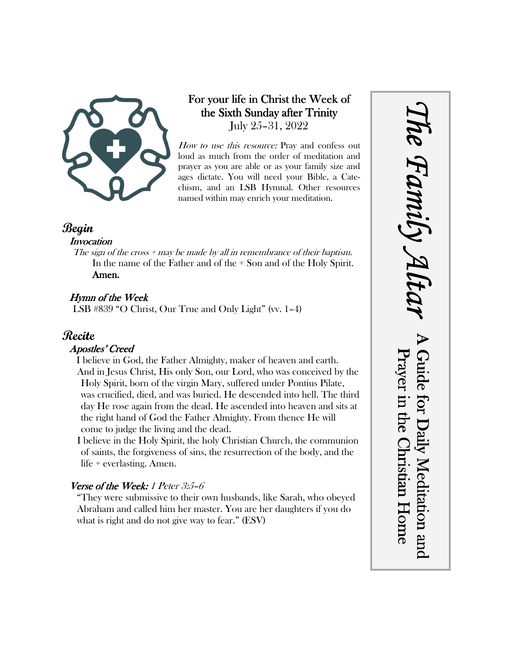

# For your life in Christ the Week of the Sixth Sunday after Trinity July 25–31, 2022

How to use this resource: Pray and confess out loud as much from the order of meditation and prayer as you are able or as your family size and ages dictate. You will need your Bible, a Catechism, and an LSB Hymnal. Other resources named within may enrich your meditation.

## **Begin**

#### **Invocation**

The sign of the cross  $+$  may be made by all in remembrance of their baptism. In the name of the Father and of the + Son and of the Holy Spirit. Amen.

## Hymn of the Week

LSB #839 "O Christ, Our True and Only Light" (vv. 1–4)

# **Recite**

#### Apostles' Creed

I believe in God, the Father Almighty, maker of heaven and earth. And in Jesus Christ, His only Son, our Lord, who was conceived by the Holy Spirit, born of the virgin Mary, suffered under Pontius Pilate, was crucified, died, and was buried. He descended into hell. The third day He rose again from the dead. He ascended into heaven and sits at the right hand of God the Father Almighty. From thence He will come to judge the living and the dead.

I believe in the Holy Spirit, the holy Christian Church, the communion of saints, the forgiveness of sins, the resurrection of the body, and the life + everlasting. Amen.

## Verse of the Week: 1 Peter 3:5-6

"They were submissive to their own husbands, like Sarah, who obeyed Abraham and called him her master. You are her daughters if you do what is right and do not give way to fear." (ESV)

*The Family Altar* he Family A Guide for Daily Meditation and Prayer in the Christian Home Guide for Daily Meditation and Prayer in the Christian Home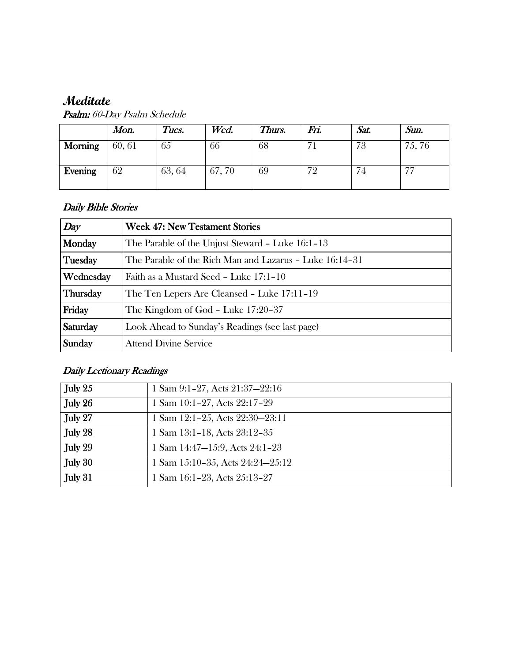# **Meditate**

| <b>Psalm:</b> 60-Day Psalm Schedule |  |
|-------------------------------------|--|
| Meditate                            |  |

|                | Mon.  | Tues.  | Wed.  | Thurs. | Fri. | Sat. | Sun.                     |
|----------------|-------|--------|-------|--------|------|------|--------------------------|
| <b>Morning</b> | 60,61 | 65     | 66    | 68     |      | 73   | 75, 76                   |
| Evening        | 62    | 63, 64 | 67,70 | 69     | 72   | . 4  | $\overline{\phantom{m}}$ |

## Daily Bible Stories

| Day       | <b>Week 47: New Testament Stories</b>                   |
|-----------|---------------------------------------------------------|
| Monday    | The Parable of the Unjust Steward - Luke 16:1-13        |
| Tuesday   | The Parable of the Rich Man and Lazarus – Luke 16:14–31 |
| Wednesday | Faith as a Mustard Seed - Luke 17:1-10                  |
| Thursday  | The Ten Lepers Are Cleansed - Luke 17:11-19             |
| Friday    | The Kingdom of God - Luke 17:20-37                      |
| Saturday  | Look Ahead to Sunday's Readings (see last page)         |
| Sunday    | <b>Attend Divine Service</b>                            |

# Daily Lectionary Readings

| July 25 | 1 Sam 9:1-27, Acts 21:37-22:16   |
|---------|----------------------------------|
| July 26 | 1 Sam 10:1-27, Acts 22:17-29     |
| July 27 | 1 Sam 12:1-25, Acts 22:30-23:11  |
| July 28 | 1 Sam 13:1-18, Acts 23:12-35     |
| July 29 | 1 Sam 14:47-15:9, Acts 24:1-23   |
| July 30 | 1 Sam 15:10-35, Acts 24:24-25:12 |
| July 31 | 1 Sam 16:1-23, Acts 25:13-27     |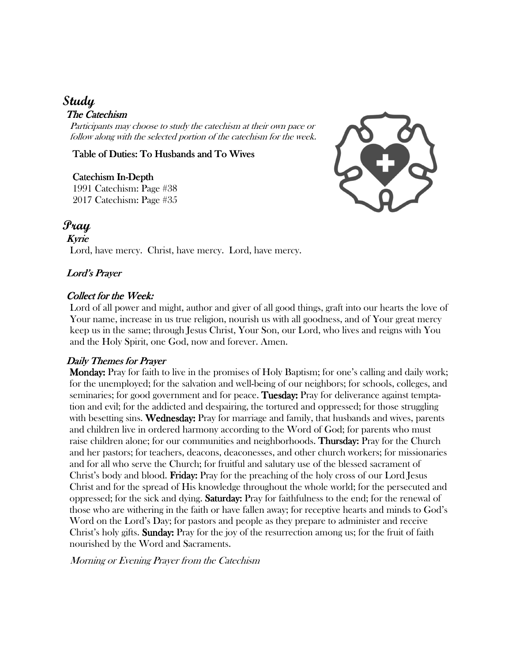# **Study**

#### The Catechism

Participants may choose to study the catechism at their own pace or follow along with the selected portion of the catechism for the week.

Table of Duties: To Husbands and To Wives

#### Catechism In-Depth

1991 Catechism: Page #38 2017 Catechism: Page #35



# **Pray**

Kyrie Lord, have mercy. Christ, have mercy. Lord, have mercy.

#### Lord's Prayer

#### Collect for the Week:

Lord of all power and might, author and giver of all good things, graft into our hearts the love of Your name, increase in us true religion, nourish us with all goodness, and of Your great mercy keep us in the same; through Jesus Christ, Your Son, our Lord, who lives and reigns with You and the Holy Spirit, one God, now and forever. Amen.

#### Daily Themes for Prayer

 Monday: Monday: Pray for faith to live in the promises of Holy Baptism; for one's calling and daily work; for the unemployed; for the salvation and well-being of our neighbors; for schools, colleges, and seminaries; for good government and for peace. Tuesday: Pray for deliverance against temptation and evil; for the addicted and despairing, the tortured and oppressed; for those struggling with besetting sins. Wednesday: Pray for marriage and family, that husbands and wives, parents and children live in ordered harmony according to the Word of God; for parents who must raise children alone; for our communities and neighborhoods. **Thursday:** Pray for the Church and her pastors; for teachers, deacons, deaconesses, and other church workers; for missionaries and for all who serve the Church; for fruitful and salutary use of the blessed sacrament of Christ's body and blood. **Friday:** Pray for the preaching of the holy cross of our Lord Jesus Christ and for the spread of His knowledge throughout the whole world; for the persecuted and oppressed; for the sick and dying. **Saturday:** Pray for faithfulness to the end; for the renewal of those who are withering in the faith or have fallen away; for receptive hearts and minds to God's Word on the Lord's Day; for pastors and people as they prepare to administer and receive Christ's holy gifts. Sunday: Pray for the joy of the resurrection among us; for the fruit of faith nourished by the Word and Sacraments.

Morning or Evening Prayer from the Catechism